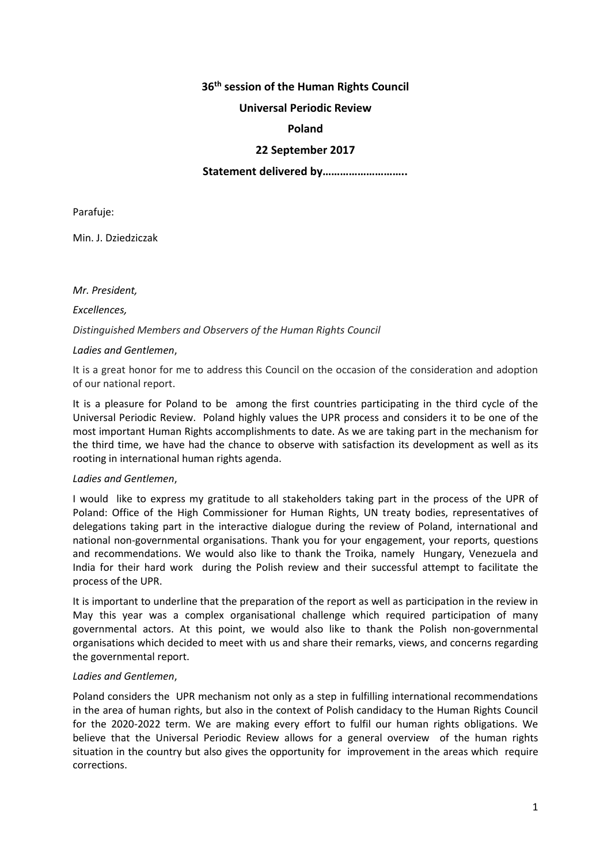# **36th session of the Human Rights Council**

## **Universal Periodic Review**

## **Poland**

## **22 September 2017**

## **Statement delivered by………………………..**

Parafuje:

Min. J. Dziedziczak

*Mr. President,*

*Excellences,*

## *Distinguished Members and Observers of the Human Rights Council*

## *Ladies and Gentlemen*,

It is a great honor for me to address this Council on the occasion of the consideration and adoption of our national report.

It is a pleasure for Poland to be among the first countries participating in the third cycle of the Universal Periodic Review. Poland highly values the UPR process and considers it to be one of the most important Human Rights accomplishments to date. As we are taking part in the mechanism for the third time, we have had the chance to observe with satisfaction its development as well as its rooting in international human rights agenda.

#### *Ladies and Gentlemen*,

I would like to express my gratitude to all stakeholders taking part in the process of the UPR of Poland: Office of the High Commissioner for Human Rights, UN treaty bodies, representatives of delegations taking part in the interactive dialogue during the review of Poland, international and national non-governmental organisations. Thank you for your engagement, your reports, questions and recommendations. We would also like to thank the Troika, namely Hungary, Venezuela and India for their hard work during the Polish review and their successful attempt to facilitate the process of the UPR.

It is important to underline that the preparation of the report as well as participation in the review in May this year was a complex organisational challenge which required participation of many governmental actors. At this point, we would also like to thank the Polish non-governmental organisations which decided to meet with us and share their remarks, views, and concerns regarding the governmental report.

#### *Ladies and Gentlemen*,

Poland considers the UPR mechanism not only as a step in fulfilling international recommendations in the area of human rights, but also in the context of Polish candidacy to the Human Rights Council for the 2020-2022 term. We are making every effort to fulfil our human rights obligations. We believe that the Universal Periodic Review allows for a general overview of the human rights situation in the country but also gives the opportunity for improvement in the areas which require corrections.